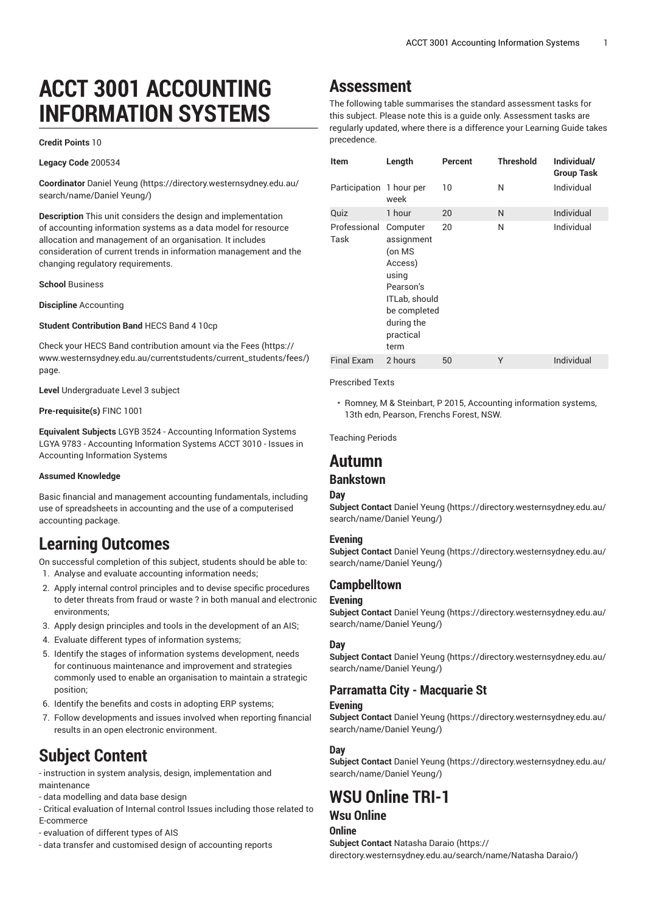# **ACCT 3001 ACCOUNTING INFORMATION SYSTEMS**

#### **Credit Points** 10

**Legacy Code** 200534

**Coordinator** [Daniel](https://directory.westernsydney.edu.au/search/name/Daniel Yeung/) Yeung [\(https://directory.westernsydney.edu.au/](https://directory.westernsydney.edu.au/search/name/Daniel Yeung/) [search/name/Daniel](https://directory.westernsydney.edu.au/search/name/Daniel Yeung/) Yeung/)

**Description** This unit considers the design and implementation of accounting information systems as a data model for resource allocation and management of an organisation. It includes consideration of current trends in information management and the changing regulatory requirements.

#### **School** Business

**Discipline** Accounting

#### **Student Contribution Band** HECS Band 4 10cp

Check your HECS Band contribution amount via the [Fees \(https://](https://www.westernsydney.edu.au/currentstudents/current_students/fees/) [www.westernsydney.edu.au/currentstudents/current\\_students/fees/\)](https://www.westernsydney.edu.au/currentstudents/current_students/fees/) page.

**Level** Undergraduate Level 3 subject

#### **Pre-requisite(s)** [FINC 1001](/search/?P=FINC%201001)

**Equivalent Subjects** LGYB 3524 - Accounting Information Systems LGYA 9783 - Accounting Information Systems ACCT 3010 - Issues in Accounting Information Systems

#### **Assumed Knowledge**

Basic financial and management accounting fundamentals, including use of spreadsheets in accounting and the use of a computerised accounting package.

# **Learning Outcomes**

On successful completion of this subject, students should be able to:

- 1. Analyse and evaluate accounting information needs;
- 2. Apply internal control principles and to devise specific procedures to deter threats from fraud or waste ? in both manual and electronic environments;
- 3. Apply design principles and tools in the development of an AIS;
- 4. Evaluate different types of information systems;
- 5. Identify the stages of information systems development, needs for continuous maintenance and improvement and strategies commonly used to enable an organisation to maintain a strategic position;
- 6. Identify the benefits and costs in adopting ERP systems;
- 7. Follow developments and issues involved when reporting financial results in an open electronic environment.

# **Subject Content**

- instruction in system analysis, design, implementation and maintenance

- data modelling and data base design

- Critical evaluation of Internal control Issues including those related to E-commerce
- evaluation of different types of AIS
- data transfer and customised design of accounting reports

## **Assessment**

The following table summarises the standard assessment tasks for this subject. Please note this is a guide only. Assessment tasks are regularly updated, where there is a difference your Learning Guide takes precedence.

| <b>Item</b>              | Length                                                                                                                                | Percent | <b>Threshold</b> | Individual/<br><b>Group Task</b> |
|--------------------------|---------------------------------------------------------------------------------------------------------------------------------------|---------|------------------|----------------------------------|
| Participation 1 hour per | week                                                                                                                                  | 10      | N                | Individual                       |
| Quiz                     | 1 hour                                                                                                                                | 20      | N                | Individual                       |
| Professional<br>Task     | Computer<br>assignment<br>(on MS<br>Access)<br>using<br>Pearson's<br>ITLab, should<br>be completed<br>during the<br>practical<br>term | 20      | Ν                | Individual                       |
| <b>Final Exam</b>        | 2 hours                                                                                                                               | 50      | Υ                | Individual                       |

#### Prescribed Texts

• Romney, M & Steinbart, P 2015, Accounting information systems, 13th edn, Pearson, Frenchs Forest, NSW.

Teaching Periods

## **Autumn**

## **Bankstown**

#### **Day**

**Subject Contact** Daniel [Yeung \(https://directory.westernsydney.edu.au/](https://directory.westernsydney.edu.au/search/name/Daniel Yeung/) [search/name/Daniel](https://directory.westernsydney.edu.au/search/name/Daniel Yeung/) Yeung/)

#### **Evening**

**Subject Contact** Daniel [Yeung \(https://directory.westernsydney.edu.au/](https://directory.westernsydney.edu.au/search/name/Daniel Yeung/) [search/name/Daniel](https://directory.westernsydney.edu.au/search/name/Daniel Yeung/) Yeung/)

### **Campbelltown**

#### **Evening**

**Subject Contact** Daniel [Yeung \(https://directory.westernsydney.edu.au/](https://directory.westernsydney.edu.au/search/name/Daniel Yeung/) [search/name/Daniel](https://directory.westernsydney.edu.au/search/name/Daniel Yeung/) Yeung/)

#### **Day**

**Subject Contact** Daniel [Yeung \(https://directory.westernsydney.edu.au/](https://directory.westernsydney.edu.au/search/name/Daniel Yeung/) [search/name/Daniel](https://directory.westernsydney.edu.au/search/name/Daniel Yeung/) Yeung/)

### **Parramatta City - Macquarie St**

#### **Evening**

**Subject Contact** Daniel [Yeung \(https://directory.westernsydney.edu.au/](https://directory.westernsydney.edu.au/search/name/Daniel Yeung/) [search/name/Daniel](https://directory.westernsydney.edu.au/search/name/Daniel Yeung/) Yeung/)

#### **Day**

**Subject Contact** Daniel [Yeung \(https://directory.westernsydney.edu.au/](https://directory.westernsydney.edu.au/search/name/Daniel Yeung/) [search/name/Daniel](https://directory.westernsydney.edu.au/search/name/Daniel Yeung/) Yeung/)

# **WSU Online TRI-1**

## **Wsu Online**

**Online Subject Contact** [Natasha Daraio](https://directory.westernsydney.edu.au/search/name/Natasha Daraio/) [\(https://](https://directory.westernsydney.edu.au/search/name/Natasha Daraio/) [directory.westernsydney.edu.au/search/name/Natasha](https://directory.westernsydney.edu.au/search/name/Natasha Daraio/) Daraio/)